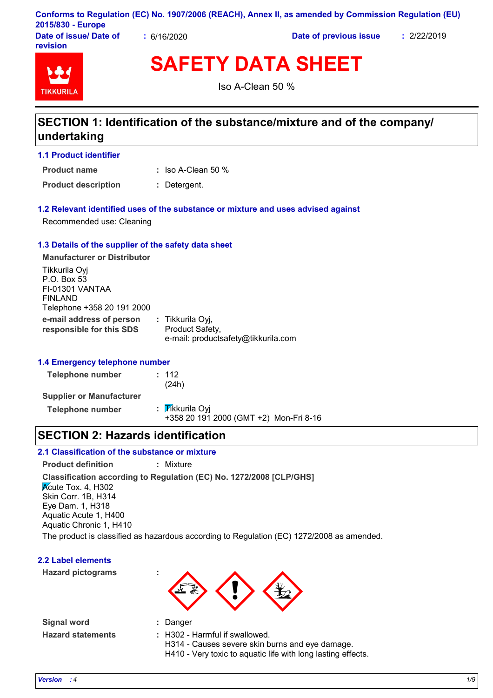|                         |            | Conforms to Regulation (EC) No. 1907/2006 (REACH), Annex II, as amended by Commission Regulation (EU) |           |
|-------------------------|------------|-------------------------------------------------------------------------------------------------------|-----------|
| 2015/830 - Europe       |            |                                                                                                       |           |
| Dota of incural Dota of | 0.11010000 | Bata af municipal factor                                                                              | n'on'onio |

**Date of issue/ Date of revision**

**:** 6/16/2020 **Date of previous issue :** 2/22/2019



**SAFETY DATA SHEET**

Iso A-Clean 50 %

### **SECTION 1: Identification of the substance/mixture and of the company/ undertaking**

**1.1 Product identifier**

**:** Iso A-Clean 50 % **Product name**

**Product description :** Detergent.

#### **1.2 Relevant identified uses of the substance or mixture and uses advised against**

Recommended use: Cleaning

#### **1.3 Details of the supplier of the safety data sheet**

**e-mail address of person responsible for this SDS :** Tikkurila Oyj, Product Safety, e-mail: productsafety@tikkurila.com **Manufacturer or Distributor** Tikkurila Oyj P.O. Box 53 FI-01301 VANTAA FINLAND Telephone +358 20 191 2000

### **1.4 Emergency telephone number**

**Telephone number :** 112 (24h) **Supplier or Manufacturer Telephone number** : Tikkurila Oyj +358 20 191 2000 (GMT +2) Mon-Fri 8-16

### **SECTION 2: Hazards identification**

### **2.1 Classification of the substance or mixture**

**Classification according to Regulation (EC) No. 1272/2008 [CLP/GHS] Product definition :** Mixture  $\overline{\mathsf{K}}$ cute Tox. 4, H302 Skin Corr. 1B, H314 Eye Dam. 1, H318 Aquatic Acute 1, H400 Aquatic Chronic 1, H410 The product is classified as hazardous according to Regulation (EC) 1272/2008 as amended.

#### **2.2 Label elements**

**Hazard pictograms :**



**Signal word : Hazard statements :**

- : Danger
- : H302 Harmful if swallowed.
	- H314 Causes severe skin burns and eye damage.
	- H410 Very toxic to aquatic life with long lasting effects.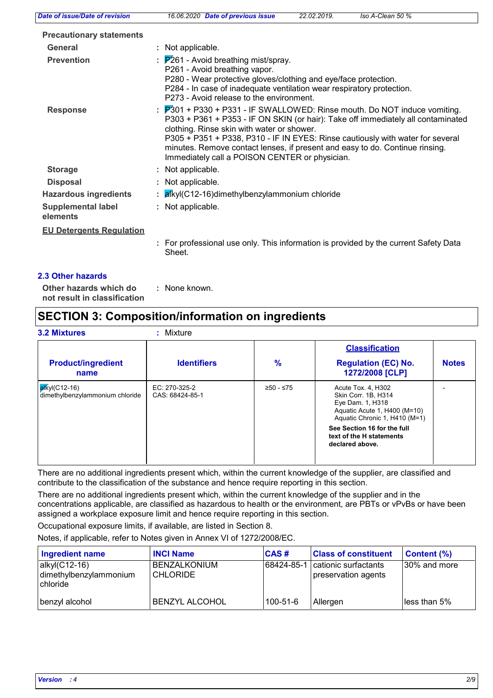| <b>Date of issue/Date of revision</b> | Iso A-Clean 50 %<br>16.06.2020 Date of previous issue<br>22.02.2019.                                                                                                                                                                                                                                                                                                                                                                        |
|---------------------------------------|---------------------------------------------------------------------------------------------------------------------------------------------------------------------------------------------------------------------------------------------------------------------------------------------------------------------------------------------------------------------------------------------------------------------------------------------|
| <b>Precautionary statements</b>       |                                                                                                                                                                                                                                                                                                                                                                                                                                             |
| General                               | : Not applicable.                                                                                                                                                                                                                                                                                                                                                                                                                           |
| <b>Prevention</b>                     | $\frac{1}{2}$ P261 - Avoid breathing mist/spray.<br>P261 - Avoid breathing vapor.<br>P280 - Wear protective gloves/clothing and eye/face protection.<br>P284 - In case of inadequate ventilation wear respiratory protection.<br>P273 - Avoid release to the environment.                                                                                                                                                                   |
| <b>Response</b>                       | $\frac{1}{2}$ P301 + P330 + P331 - IF SWALLOWED: Rinse mouth. Do NOT induce vomiting.<br>P303 + P361 + P353 - IF ON SKIN (or hair): Take off immediately all contaminated<br>clothing. Rinse skin with water or shower.<br>P305 + P351 + P338, P310 - IF IN EYES: Rinse cautiously with water for several<br>minutes. Remove contact lenses, if present and easy to do. Continue rinsing.<br>Immediately call a POISON CENTER or physician. |
| <b>Storage</b>                        | : Not applicable.                                                                                                                                                                                                                                                                                                                                                                                                                           |
| <b>Disposal</b>                       | : Not applicable.                                                                                                                                                                                                                                                                                                                                                                                                                           |
| <b>Hazardous ingredients</b>          | : alkyl(C12-16)dimethylbenzylammonium chloride                                                                                                                                                                                                                                                                                                                                                                                              |
| <b>Supplemental label</b><br>elements | : Not applicable.                                                                                                                                                                                                                                                                                                                                                                                                                           |
| <b>EU Detergents Regulation</b>       |                                                                                                                                                                                                                                                                                                                                                                                                                                             |
|                                       | : For professional use only. This information is provided by the current Safety Data<br>Sheet.                                                                                                                                                                                                                                                                                                                                              |
| 2.3 Other hazards                     |                                                                                                                                                                                                                                                                                                                                                                                                                                             |

**Other hazards which do : not result in classification** : None known.

### **SECTION 3: Composition/information on ingredients**

|                                                          |                                  |           | <b>Classification</b>                                                                                                          |              |
|----------------------------------------------------------|----------------------------------|-----------|--------------------------------------------------------------------------------------------------------------------------------|--------------|
| <b>Product/ingredient</b><br>name                        | <b>Identifiers</b>               | $\%$      | <b>Regulation (EC) No.</b><br>1272/2008 [CLP]                                                                                  | <b>Notes</b> |
| <b>alkyl</b> (C12-16)<br>dimethylbenzylammonium chloride | EC: 270-325-2<br>CAS: 68424-85-1 | ≥50 - ≤75 | Acute Tox. 4, H302<br>Skin Corr. 1B. H314<br>Eye Dam. 1, H318<br>Aquatic Acute 1, H400 (M=10)<br>Aquatic Chronic 1, H410 (M=1) |              |
|                                                          |                                  |           | See Section 16 for the full<br>text of the H statements<br>declared above.                                                     |              |

There are no additional ingredients present which, within the current knowledge of the supplier, are classified and contribute to the classification of the substance and hence require reporting in this section.

There are no additional ingredients present which, within the current knowledge of the supplier and in the concentrations applicable, are classified as hazardous to health or the environment, are PBTs or vPvBs or have been assigned a workplace exposure limit and hence require reporting in this section.

Occupational exposure limits, if available, are listed in Section 8.

Notes, if applicable, refer to Notes given in Annex VI of 1272/2008/EC.

| Ingredient name                                            | <b>INCI Name</b>                       | <b>CAS#</b> | <b>Class of constituent</b>                 | $\mid$ Content $\left(\%\right)$ |  |
|------------------------------------------------------------|----------------------------------------|-------------|---------------------------------------------|----------------------------------|--|
| alkyl(C12-16)<br>dimethylbenzylammonium<br><b>chloride</b> | <b>BENZALKONIUM</b><br><b>CHLORIDE</b> | 68424-85-1  | cationic surfactants<br>preservation agents | 30% and more                     |  |
| benzyl alcohol                                             | <b>BENZYL ALCOHOL</b>                  | 100-51-6    | Allergen                                    | less than 5%                     |  |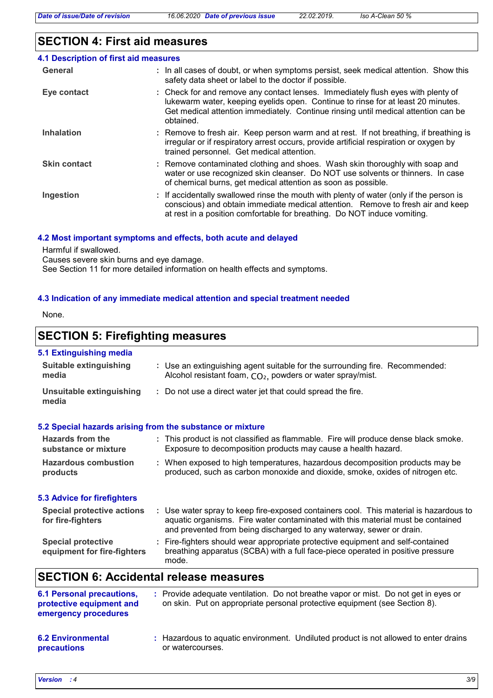## **SECTION 4: First aid measures**

| 4.1 Description of first aid measures |                                                                                                                                                                                                                                                                         |
|---------------------------------------|-------------------------------------------------------------------------------------------------------------------------------------------------------------------------------------------------------------------------------------------------------------------------|
| General                               | : In all cases of doubt, or when symptoms persist, seek medical attention. Show this<br>safety data sheet or label to the doctor if possible.                                                                                                                           |
| Eye contact                           | : Check for and remove any contact lenses. Immediately flush eyes with plenty of<br>lukewarm water, keeping eyelids open. Continue to rinse for at least 20 minutes.<br>Get medical attention immediately. Continue rinsing until medical attention can be<br>obtained. |
| <b>Inhalation</b>                     | : Remove to fresh air. Keep person warm and at rest. If not breathing, if breathing is<br>irregular or if respiratory arrest occurs, provide artificial respiration or oxygen by<br>trained personnel. Get medical attention.                                           |
| <b>Skin contact</b>                   | : Remove contaminated clothing and shoes. Wash skin thoroughly with soap and<br>water or use recognized skin cleanser. Do NOT use solvents or thinners. In case<br>of chemical burns, get medical attention as soon as possible.                                        |
| Ingestion                             | : If accidentally swallowed rinse the mouth with plenty of water (only if the person is<br>conscious) and obtain immediate medical attention. Remove to fresh air and keep<br>at rest in a position comfortable for breathing. Do NOT induce vomiting.                  |

#### **4.2 Most important symptoms and effects, both acute and delayed**

Harmful if swallowed.

Causes severe skin burns and eye damage.

See Section 11 for more detailed information on health effects and symptoms.

### **4.3 Indication of any immediate medical attention and special treatment needed**

None.

### **SECTION 5: Firefighting measures**

### **5.1 Extinguishing media**

| <b>Suitable extinguishing</b><br>media                                               | : Use an extinguishing agent suitable for the surrounding fire. Recommended:<br>Alcohol resistant foam, $CO2$ , powders or water spray/mist.                                                                                                     |
|--------------------------------------------------------------------------------------|--------------------------------------------------------------------------------------------------------------------------------------------------------------------------------------------------------------------------------------------------|
| <b>Unsuitable extinguishing</b><br>media                                             | : Do not use a direct water jet that could spread the fire.                                                                                                                                                                                      |
| 5.2 Special hazards arising from the substance or mixture                            |                                                                                                                                                                                                                                                  |
| <b>Hazards from the</b><br>substance or mixture                                      | : This product is not classified as flammable. Fire will produce dense black smoke.<br>Exposure to decomposition products may cause a health hazard.                                                                                             |
| <b>Hazardous combustion</b><br>products                                              | : When exposed to high temperatures, hazardous decomposition products may be<br>produced, such as carbon monoxide and dioxide, smoke, oxides of nitrogen etc.                                                                                    |
| <b>5.3 Advice for firefighters</b>                                                   |                                                                                                                                                                                                                                                  |
| <b>Special protective actions</b><br>for fire-fighters                               | : Use water spray to keep fire-exposed containers cool. This material is hazardous to<br>aquatic organisms. Fire water contaminated with this material must be contained<br>and prevented from being discharged to any waterway, sewer or drain. |
| <b>Special protective</b><br>equipment for fire-fighters                             | : Fire-fighters should wear appropriate protective equipment and self-contained<br>breathing apparatus (SCBA) with a full face-piece operated in positive pressure<br>mode.                                                                      |
| <b>SECTION 6: Accidental release measures</b>                                        |                                                                                                                                                                                                                                                  |
| <b>6.1 Personal precautions,</b><br>protective equipment and<br>emergency procedures | : Provide adequate ventilation. Do not breathe vapor or mist. Do not get in eyes or<br>on skin. Put on appropriate personal protective equipment (see Section 8).                                                                                |

#### **6.2 Environmental precautions** Hazardous to aquatic environment. Undiluted product is not allowed to enter drains **:** or watercourses.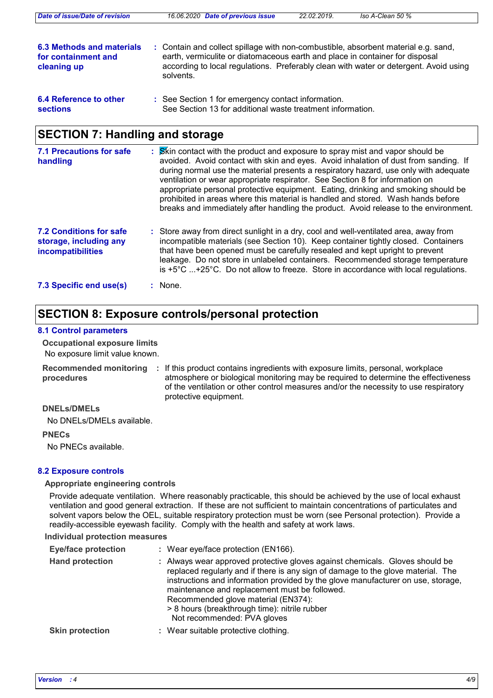| Date of issue/Date of revision                                  | 16.06.2020 Date of previous issue                                                                                                                                                                                                                                        | 22.02.2019. | Iso A-Clean 50 % |  |
|-----------------------------------------------------------------|--------------------------------------------------------------------------------------------------------------------------------------------------------------------------------------------------------------------------------------------------------------------------|-------------|------------------|--|
| 6.3 Methods and materials<br>for containment and<br>cleaning up | : Contain and collect spillage with non-combustible, absorbent material e.g. sand,<br>earth, vermiculite or diatomaceous earth and place in container for disposal<br>according to local regulations. Preferably clean with water or detergent. Avoid using<br>solvents. |             |                  |  |
| 6.4 Reference to other<br><b>sections</b>                       | : See Section 1 for emergency contact information.<br>See Section 13 for additional waste treatment information.                                                                                                                                                         |             |                  |  |

### **SECTION 7: Handling and storage**

| <b>7.1 Precautions for safe</b><br>handling                                   | : Skin contact with the product and exposure to spray mist and vapor should be<br>avoided. Avoid contact with skin and eyes. Avoid inhalation of dust from sanding. If<br>during normal use the material presents a respiratory hazard, use only with adequate<br>ventilation or wear appropriate respirator. See Section 8 for information on<br>appropriate personal protective equipment. Eating, drinking and smoking should be<br>prohibited in areas where this material is handled and stored. Wash hands before<br>breaks and immediately after handling the product. Avoid release to the environment. |
|-------------------------------------------------------------------------------|-----------------------------------------------------------------------------------------------------------------------------------------------------------------------------------------------------------------------------------------------------------------------------------------------------------------------------------------------------------------------------------------------------------------------------------------------------------------------------------------------------------------------------------------------------------------------------------------------------------------|
| <b>7.2 Conditions for safe</b><br>storage, including any<br>incompatibilities | : Store away from direct sunlight in a dry, cool and well-ventilated area, away from<br>incompatible materials (see Section 10). Keep container tightly closed. Containers<br>that have been opened must be carefully resealed and kept upright to prevent<br>leakage. Do not store in unlabeled containers. Recommended storage temperature<br>is $+5^{\circ}$ C $+25^{\circ}$ C. Do not allow to freeze. Store in accordance with local regulations.                                                                                                                                                          |
| 7.3 Specific end use(s)                                                       | $:$ None.                                                                                                                                                                                                                                                                                                                                                                                                                                                                                                                                                                                                       |

### **SECTION 8: Exposure controls/personal protection**

#### **8.1 Control parameters**

**Occupational exposure limits**

No exposure limit value known.

Recommended monitoring : If this product contains ingredients with exposure limits, personal, workplace **procedures** atmosphere or biological monitoring may be required to determine the effectiveness of the ventilation or other control measures and/or the necessity to use respiratory protective equipment.

### **DNELs/DMELs**

No DNELs/DMELs available.

**PNECs**

No PNECs available.

### **8.2 Exposure controls**

### **Appropriate engineering controls**

Provide adequate ventilation. Where reasonably practicable, this should be achieved by the use of local exhaust ventilation and good general extraction. If these are not sufficient to maintain concentrations of particulates and solvent vapors below the OEL, suitable respiratory protection must be worn (see Personal protection). Provide a readily-accessible eyewash facility. Comply with the health and safety at work laws.

**Individual protection measures**

| <b>Eye/face protection</b> | : Wear eye/face protection (EN166).                                                                                                                                                                                                                                                                                                                                                                                        |
|----------------------------|----------------------------------------------------------------------------------------------------------------------------------------------------------------------------------------------------------------------------------------------------------------------------------------------------------------------------------------------------------------------------------------------------------------------------|
| <b>Hand protection</b>     | Always wear approved protective gloves against chemicals. Gloves should be<br>replaced regularly and if there is any sign of damage to the glove material. The<br>instructions and information provided by the glove manufacturer on use, storage,<br>maintenance and replacement must be followed.<br>Recommended glove material (EN374):<br>> 8 hours (breakthrough time): nitrile rubber<br>Not recommended: PVA gloves |
| <b>Skin protection</b>     | Wear suitable protective clothing.                                                                                                                                                                                                                                                                                                                                                                                         |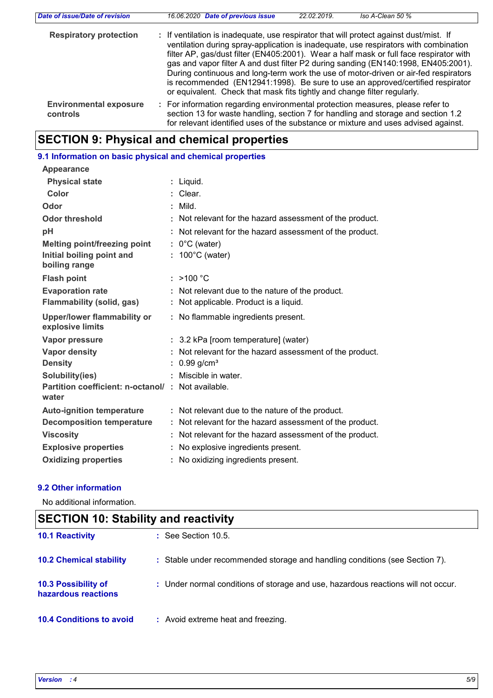| Date of issue/Date of revision            | 16.06.2020 Date of previous issue                                                                                                                                                                                                                                                                                                                                                                                                                                                                                                                                                                                   | 22.02.2019. | Iso A-Clean 50 % |  |
|-------------------------------------------|---------------------------------------------------------------------------------------------------------------------------------------------------------------------------------------------------------------------------------------------------------------------------------------------------------------------------------------------------------------------------------------------------------------------------------------------------------------------------------------------------------------------------------------------------------------------------------------------------------------------|-------------|------------------|--|
| <b>Respiratory protection</b>             | : If ventilation is inadequate, use respirator that will protect against dust/mist. If<br>ventilation during spray-application is inadequate, use respirators with combination<br>filter AP, gas/dust filter (EN405:2001). Wear a half mask or full face respirator with<br>gas and vapor filter A and dust filter P2 during sanding (EN140:1998, EN405:2001).<br>During continuous and long-term work the use of motor-driven or air-fed respirators<br>is recommended (EN12941:1998). Be sure to use an approved/certified respirator<br>or equivalent. Check that mask fits tightly and change filter regularly. |             |                  |  |
| <b>Environmental exposure</b><br>controls | : For information regarding environmental protection measures, please refer to<br>section 13 for waste handling, section 7 for handling and storage and section 1.2<br>for relevant identified uses of the substance or mixture and uses advised against.                                                                                                                                                                                                                                                                                                                                                           |             |                  |  |

## **SECTION 9: Physical and chemical properties**

## **9.1 Information on basic physical and chemical properties**

| <b>Appearance</b>                                          |                                                          |
|------------------------------------------------------------|----------------------------------------------------------|
| <b>Physical state</b>                                      | : Liquid.                                                |
| Color                                                      | : Clear.                                                 |
| Odor                                                       | : Mild                                                   |
| <b>Odor threshold</b>                                      | : Not relevant for the hazard assessment of the product. |
| pH                                                         | : Not relevant for the hazard assessment of the product. |
| Melting point/freezing point                               | $: 0^{\circ}$ C (water)                                  |
| Initial boiling point and<br>boiling range                 | $: 100^{\circ}$ C (water)                                |
| <b>Flash point</b>                                         | : $>100 °C$                                              |
| <b>Evaporation rate</b>                                    | : Not relevant due to the nature of the product.         |
| <b>Flammability (solid, gas)</b>                           | : Not applicable. Product is a liquid.                   |
| Upper/lower flammability or<br>explosive limits            | : No flammable ingredients present.                      |
| <b>Vapor pressure</b>                                      | : 3.2 kPa [room temperature] (water)                     |
| <b>Vapor density</b>                                       | : Not relevant for the hazard assessment of the product. |
| <b>Density</b>                                             | : $0.99$ g/cm <sup>3</sup>                               |
| Solubility(ies)                                            | : Miscible in water.                                     |
| Partition coefficient: n-octanol/: Not available.<br>water |                                                          |
| <b>Auto-ignition temperature</b>                           | : Not relevant due to the nature of the product.         |
| <b>Decomposition temperature</b>                           | : Not relevant for the hazard assessment of the product. |
| <b>Viscosity</b>                                           | Not relevant for the hazard assessment of the product.   |
| <b>Explosive properties</b>                                | : No explosive ingredients present.                      |
| <b>Oxidizing properties</b>                                | : No oxidizing ingredients present.                      |

### **9.2 Other information**

No additional information.

| <b>SECTION 10: Stability and reactivity</b> |                                                                                   |  |
|---------------------------------------------|-----------------------------------------------------------------------------------|--|
| <b>10.1 Reactivity</b>                      | $:$ See Section 10.5.                                                             |  |
| <b>10.2 Chemical stability</b>              | : Stable under recommended storage and handling conditions (see Section 7).       |  |
| 10.3 Possibility of<br>hazardous reactions  | : Under normal conditions of storage and use, hazardous reactions will not occur. |  |
| <b>10.4 Conditions to avoid</b>             | : Avoid extreme heat and freezing.                                                |  |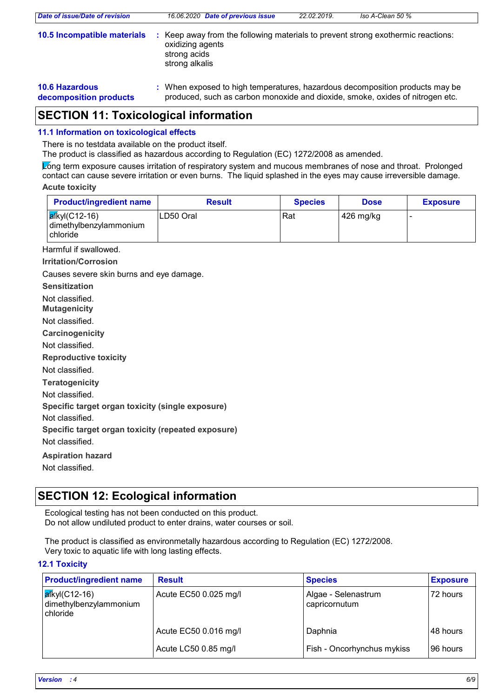| Date of issue/Date of revision                  | 16.06.2020 Date of previous issue                                                                                                                             | 22.02.2019. | Iso A-Clean 50 % |
|-------------------------------------------------|---------------------------------------------------------------------------------------------------------------------------------------------------------------|-------------|------------------|
| 10.5 Incompatible materials                     | Keep away from the following materials to prevent strong exothermic reactions:<br>oxidizing agents<br>strong acids<br>strong alkalis                          |             |                  |
| <b>10.6 Hazardous</b><br>decomposition products | : When exposed to high temperatures, hazardous decomposition products may be<br>produced, such as carbon monoxide and dioxide, smoke, oxides of nitrogen etc. |             |                  |

### **SECTION 11: Toxicological information**

### **11.1 Information on toxicological effects**

There is no testdata available on the product itself.

The product is classified as hazardous according to Regulation (EC) 1272/2008 as amended.

**Acute toxicity** Long term exposure causes irritation of respiratory system and mucous membranes of nose and throat. Prolonged contact can cause severe irritation or even burns. The liquid splashed in the eyes may cause irreversible damage.

| <b>Product/ingredient name</b>                                          | <b>Result</b> | <b>Species</b> | <b>Dose</b> | <b>Exposure</b> |
|-------------------------------------------------------------------------|---------------|----------------|-------------|-----------------|
| $\left  \frac{d}{dx}$ kyl(C12-16)<br>dimethylbenzylammonium<br>chloride | LD50 Oral     | Rat            | 426 mg/kg   |                 |

Harmful if swallowed.

**Irritation/Corrosion**

Causes severe skin burns and eye damage.

| <b>Sensitization</b>                               |
|----------------------------------------------------|
| Not classified.<br><b>Mutagenicity</b>             |
| Not classified.                                    |
| Carcinogenicity                                    |
| Not classified.                                    |
| <b>Reproductive toxicity</b>                       |
| Not classified.                                    |
| <b>Teratogenicity</b>                              |
| Not classified.                                    |
| Specific target organ toxicity (single exposure)   |
| Not classified.                                    |
| Specific target organ toxicity (repeated exposure) |
| Not classified.                                    |
| <b>Aspiration hazard</b>                           |
| Not classified.                                    |

### **SECTION 12: Ecological information**

Ecological testing has not been conducted on this product. Do not allow undiluted product to enter drains, water courses or soil.

The product is classified as environmetally hazardous according to Regulation (EC) 1272/2008. Very toxic to aquatic life with long lasting effects.

### **12.1 Toxicity**

| <b>Product/ingredient name</b>                              | <b>Result</b>         | <b>Species</b>                       | <b>Exposure</b> |
|-------------------------------------------------------------|-----------------------|--------------------------------------|-----------------|
| <b>a</b> ľkyl(C12-16)<br>dimethylbenzylammonium<br>chloride | Acute EC50 0.025 mg/l | Algae - Selenastrum<br>capricornutum | 172 hours       |
|                                                             | Acute EC50 0.016 mg/l | Daphnia                              | 48 hours        |
|                                                             | Acute LC50 0.85 mg/l  | Fish - Oncorhynchus mykiss           | 196 hours       |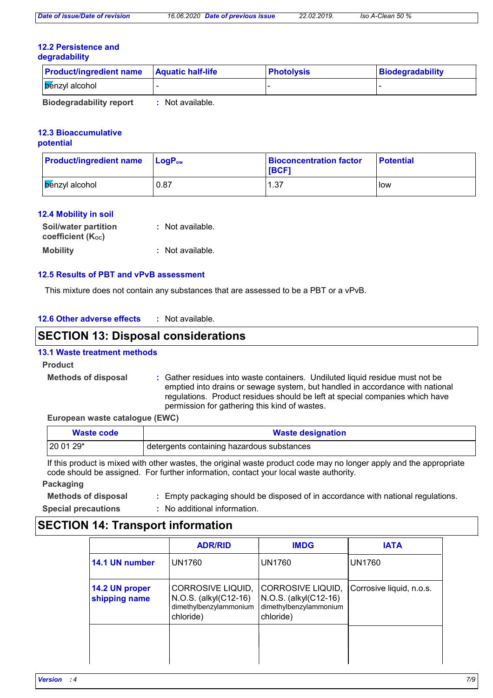#### **12.2 Persistence and degradability**

| <b>Product/ingredient name</b>                                                                                                                                                                                                 | <b>Aquatic half-life</b>  | <b>Photolysis</b> | Biodegradability |
|--------------------------------------------------------------------------------------------------------------------------------------------------------------------------------------------------------------------------------|---------------------------|-------------------|------------------|
| benzyl alcohol                                                                                                                                                                                                                 |                           |                   |                  |
| The first state of contract of the field of the contract of the field of the contract of the contract of the contract of the contract of the contract of the contract of the contract of the contract of the contract of the c | and Albert and a Markets. |                   |                  |

**Biodegradability report :** Not available.

#### **12.3 Bioaccumulative potential**

| <b>Product/ingredient name</b> | $\blacksquare$ LogP <sub>ow</sub> | <b>Bioconcentration factor</b><br><b>IBCF1</b> |              |
|--------------------------------|-----------------------------------|------------------------------------------------|--------------|
| <b>Benzyl</b> alcohol          | 0.87                              | 37. ا                                          | <b>I</b> low |

### **12.4 Mobility in soil**

| <b>Soil/water partition</b> | : Not available. |
|-----------------------------|------------------|
| coefficient (Koc)           |                  |
| <b>Mobility</b>             | : Not available. |

### **12.5 Results of PBT and vPvB assessment**

This mixture does not contain any substances that are assessed to be a PBT or a vPvB.

| · Not available. |
|------------------|
|                  |

### **SECTION 13: Disposal considerations**

### **13.1 Waste treatment methods**

### **Product**

**Methods of disposal :**

Gather residues into waste containers. Undiluted liquid residue must not be emptied into drains or sewage system, but handled in accordance with national regulations. Product residues should be left at special companies which have permission for gathering this kind of wastes.

### **European waste catalogue (EWC)**

| Waste code | <b>Waste designation</b>                   |  |
|------------|--------------------------------------------|--|
| $ 200129*$ | detergents containing hazardous substances |  |

If this product is mixed with other wastes, the original waste product code may no longer apply and the appropriate code should be assigned. For further information, contact your local waste authority.

### **Packaging**

- **Methods of disposal :** Empty packaging should be disposed of in accordance with national regulations.
- **Special precautions :**
	- No additional information.

### **SECTION 14: Transport information**

|                                 | <b>ADR/RID</b>                                                                                                                                                         | <b>IMDG</b>   | <b>IATA</b>              |
|---------------------------------|------------------------------------------------------------------------------------------------------------------------------------------------------------------------|---------------|--------------------------|
| 14.1 UN number                  | <b>UN1760</b>                                                                                                                                                          | <b>UN1760</b> | <b>UN1760</b>            |
| 14.2 UN proper<br>shipping name | CORROSIVE LIQUID,<br>CORROSIVE LIQUID,<br>N.O.S. (alkyl(C12-16)<br>N.O.S. (alkyl(C12-16)<br>dimethylbenzylammonium<br>dimethylbenzylammonium<br>chloride)<br>chloride) |               | Corrosive liquid, n.o.s. |
|                                 |                                                                                                                                                                        |               |                          |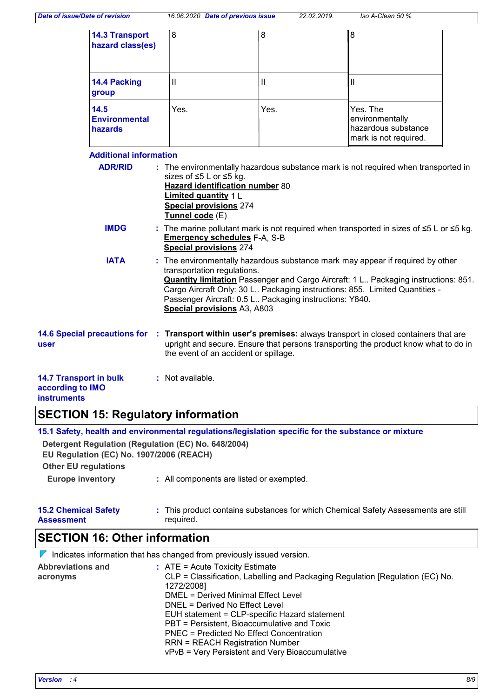| <b>14.3 Transport</b><br>hazard class(es) | 8    | 8    | 8                                                                           |
|-------------------------------------------|------|------|-----------------------------------------------------------------------------|
| 14.4 Packing<br>group                     | Ш    | Ш    |                                                                             |
| 14.5<br><b>Environmental</b><br>hazards   | Yes. | Yes. | Yes. The<br>environmentally<br>hazardous substance<br>mark is not required. |

### **Additional information**

| <b>ADR/RID</b>                                    | : The environmentally hazardous substance mark is not required when transported in<br>sizes of $\leq 5$ L or $\leq 5$ kg.<br>Hazard identification number 80<br>Limited quantity 1 L<br><b>Special provisions 274</b><br>Tunnel code (E)                                                                                                                                             |
|---------------------------------------------------|--------------------------------------------------------------------------------------------------------------------------------------------------------------------------------------------------------------------------------------------------------------------------------------------------------------------------------------------------------------------------------------|
| <b>IMDG</b>                                       | : The marine pollutant mark is not required when transported in sizes of $\leq 5$ L or $\leq 5$ kg.<br><b>Emergency schedules F-A, S-B</b><br><b>Special provisions 274</b>                                                                                                                                                                                                          |
| <b>IATA</b>                                       | : The environmentally hazardous substance mark may appear if required by other<br>transportation regulations.<br><b>Quantity limitation</b> Passenger and Cargo Aircraft: 1 L. Packaging instructions: 851.<br>Cargo Aircraft Only: 30 L Packaging instructions: 855. Limited Quantities -<br>Passenger Aircraft: 0.5 L Packaging instructions: Y840.<br>Special provisions A3, A803 |
| <b>14.6 Special precautions for</b><br>user       | : Transport within user's premises: always transport in closed containers that are<br>upright and secure. Ensure that persons transporting the product know what to do in<br>the event of an accident or spillage.                                                                                                                                                                   |
| <b>14.7 Transport in bulk</b><br>according to IMO | $:$ Not available.                                                                                                                                                                                                                                                                                                                                                                   |

### **instruments**

# **SECTION 15: Regulatory information**

|                                                  | 15.1 Safety, health and environmental regulations/legislation specific for the substance or mixture |
|--------------------------------------------------|-----------------------------------------------------------------------------------------------------|
|                                                  | Detergent Regulation (Regulation (EC) No. 648/2004)                                                 |
| EU Regulation (EC) No. 1907/2006 (REACH)         |                                                                                                     |
| <b>Other EU regulations</b>                      |                                                                                                     |
| <b>Europe inventory</b>                          | : All components are listed or exempted.                                                            |
| <b>15.2 Chemical Safety</b><br><b>Assessment</b> | : This product contains substances for which Chemical Safety Assessments are still<br>required.     |

## **SECTION 16: Other information**

|                                      | $\nabla$ Indicates information that has changed from previously issued version.                                                                                                                                                                                                                                                                                                                                                                                    |
|--------------------------------------|--------------------------------------------------------------------------------------------------------------------------------------------------------------------------------------------------------------------------------------------------------------------------------------------------------------------------------------------------------------------------------------------------------------------------------------------------------------------|
| <b>Abbreviations and</b><br>acronyms | $\therefore$ ATE = Acute Toxicity Estimate<br>CLP = Classification, Labelling and Packaging Regulation [Regulation (EC) No.<br>1272/2008]<br><b>DMEL = Derived Minimal Effect Level</b><br>DNEL = Derived No Effect Level<br>EUH statement = CLP-specific Hazard statement<br>PBT = Persistent, Bioaccumulative and Toxic<br>PNEC = Predicted No Effect Concentration<br><b>RRN = REACH Registration Number</b><br>vPvB = Very Persistent and Very Bioaccumulative |